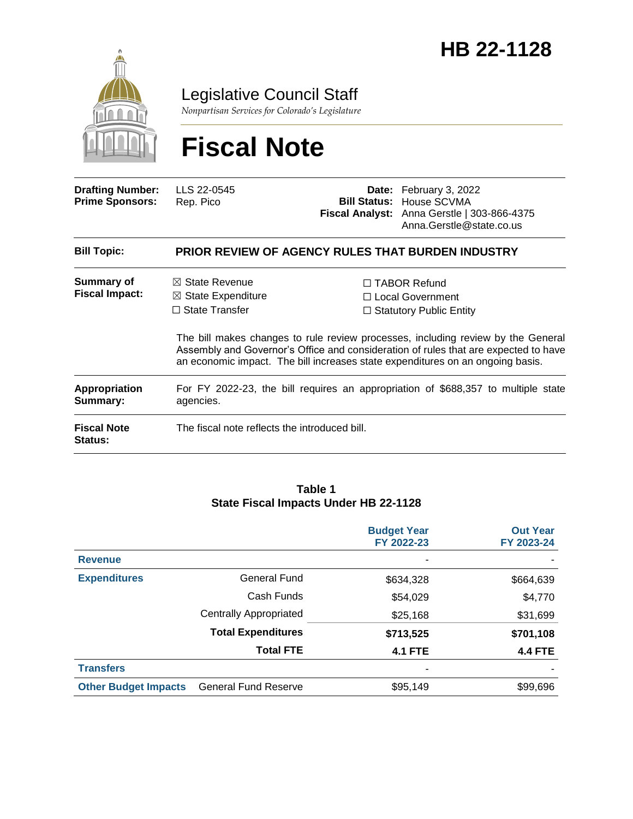

Legislative Council Staff

*Nonpartisan Services for Colorado's Legislature*

# **Fiscal Note**

| <b>Drafting Number:</b><br><b>Prime Sponsors:</b> | LLS 22-0545<br>Rep. Pico                                                            | Date: February 3, 2022<br><b>Bill Status: House SCVMA</b><br>Fiscal Analyst: Anna Gerstle   303-866-4375<br>Anna.Gerstle@state.co.us                                                                                                                                                                                                     |
|---------------------------------------------------|-------------------------------------------------------------------------------------|------------------------------------------------------------------------------------------------------------------------------------------------------------------------------------------------------------------------------------------------------------------------------------------------------------------------------------------|
| <b>Bill Topic:</b>                                | <b>PRIOR REVIEW OF AGENCY RULES THAT BURDEN INDUSTRY</b>                            |                                                                                                                                                                                                                                                                                                                                          |
| Summary of<br><b>Fiscal Impact:</b>               | $\boxtimes$ State Revenue<br>$\boxtimes$ State Expenditure<br>$\Box$ State Transfer | $\Box$ TABOR Refund<br>□ Local Government<br>$\Box$ Statutory Public Entity<br>The bill makes changes to rule review processes, including review by the General<br>Assembly and Governor's Office and consideration of rules that are expected to have<br>an economic impact. The bill increases state expenditures on an ongoing basis. |
| <b>Appropriation</b><br>Summary:                  | agencies.                                                                           | For FY 2022-23, the bill requires an appropriation of \$688,357 to multiple state                                                                                                                                                                                                                                                        |
| <b>Fiscal Note</b><br>Status:                     | The fiscal note reflects the introduced bill.                                       |                                                                                                                                                                                                                                                                                                                                          |

#### **Table 1 State Fiscal Impacts Under HB 22-1128**

|                             |                               | <b>Budget Year</b><br>FY 2022-23 | <b>Out Year</b><br>FY 2023-24 |
|-----------------------------|-------------------------------|----------------------------------|-------------------------------|
| <b>Revenue</b>              |                               | ٠                                |                               |
| <b>Expenditures</b>         | <b>General Fund</b>           | \$634,328                        | \$664,639                     |
|                             | Cash Funds                    | \$54,029                         | \$4,770                       |
|                             | <b>Centrally Appropriated</b> | \$25,168                         | \$31,699                      |
|                             | <b>Total Expenditures</b>     | \$713,525                        | \$701,108                     |
|                             | <b>Total FTE</b>              | <b>4.1 FTE</b>                   | <b>4.4 FTE</b>                |
| <b>Transfers</b>            |                               | -                                |                               |
| <b>Other Budget Impacts</b> | <b>General Fund Reserve</b>   | \$95,149                         | \$99,696                      |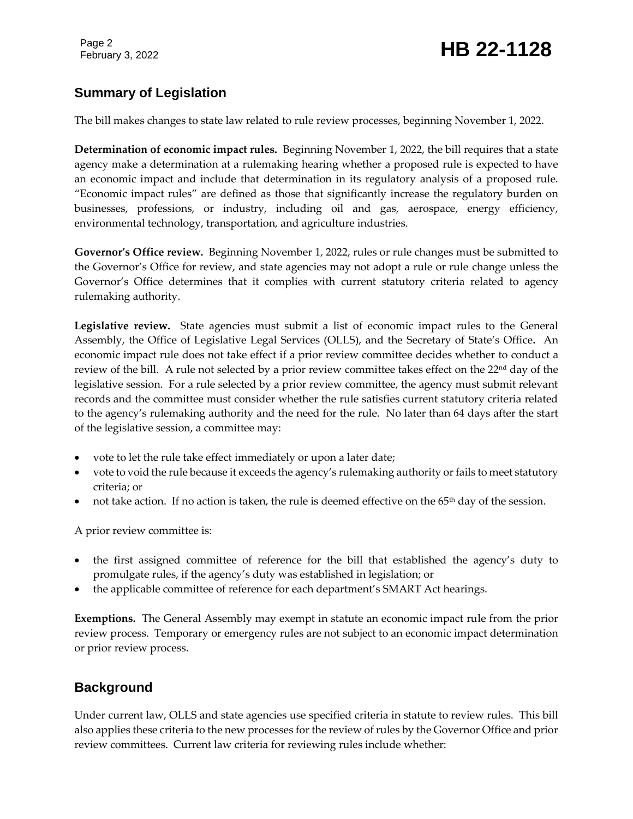# February 3, 2022 **HB 22-1128**

# **Summary of Legislation**

The bill makes changes to state law related to rule review processes, beginning November 1, 2022.

**Determination of economic impact rules.** Beginning November 1, 2022, the bill requires that a state agency make a determination at a rulemaking hearing whether a proposed rule is expected to have an economic impact and include that determination in its regulatory analysis of a proposed rule. "Economic impact rules" are defined as those that significantly increase the regulatory burden on businesses, professions, or industry, including oil and gas, aerospace, energy efficiency, environmental technology, transportation, and agriculture industries.

**Governor's Office review.** Beginning November 1, 2022, rules or rule changes must be submitted to the Governor's Office for review, and state agencies may not adopt a rule or rule change unless the Governor's Office determines that it complies with current statutory criteria related to agency rulemaking authority.

**Legislative review.** State agencies must submit a list of economic impact rules to the General Assembly, the Office of Legislative Legal Services (OLLS), and the Secretary of State's Office**.** An economic impact rule does not take effect if a prior review committee decides whether to conduct a review of the bill. A rule not selected by a prior review committee takes effect on the  $22<sup>nd</sup>$  day of the legislative session. For a rule selected by a prior review committee, the agency must submit relevant records and the committee must consider whether the rule satisfies current statutory criteria related to the agency's rulemaking authority and the need for the rule. No later than 64 days after the start of the legislative session, a committee may:

- vote to let the rule take effect immediately or upon a later date;
- vote to void the rule because it exceeds the agency's rulemaking authority or fails to meet statutory criteria; or
- not take action. If no action is taken, the rule is deemed effective on the  $65<sup>th</sup>$  day of the session.

A prior review committee is:

- the first assigned committee of reference for the bill that established the agency's duty to promulgate rules, if the agency's duty was established in legislation; or
- the applicable committee of reference for each department's SMART Act hearings.

**Exemptions.** The General Assembly may exempt in statute an economic impact rule from the prior review process. Temporary or emergency rules are not subject to an economic impact determination or prior review process.

# **Background**

Under current law, OLLS and state agencies use specified criteria in statute to review rules. This bill also applies these criteria to the new processes for the review of rules by the Governor Office and prior review committees. Current law criteria for reviewing rules include whether: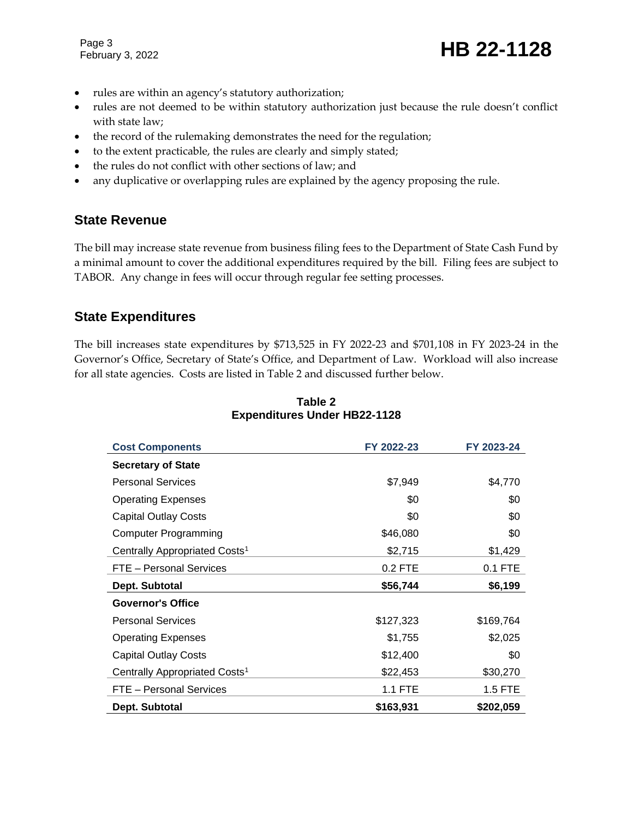Page 3

February 3, 2022 **HB 22-1128** 

- rules are within an agency's statutory authorization;
- rules are not deemed to be within statutory authorization just because the rule doesn't conflict with state law;
- the record of the rulemaking demonstrates the need for the regulation;
- to the extent practicable, the rules are clearly and simply stated;
- the rules do not conflict with other sections of law; and
- any duplicative or overlapping rules are explained by the agency proposing the rule.

#### **State Revenue**

The bill may increase state revenue from business filing fees to the Department of State Cash Fund by a minimal amount to cover the additional expenditures required by the bill. Filing fees are subject to TABOR. Any change in fees will occur through regular fee setting processes.

#### **State Expenditures**

The bill increases state expenditures by \$713,525 in FY 2022-23 and \$701,108 in FY 2023-24 in the Governor's Office, Secretary of State's Office, and Department of Law. Workload will also increase for all state agencies. Costs are listed in Table 2 and discussed further below.

| <b>Cost Components</b>                    | FY 2022-23 | FY 2023-24 |
|-------------------------------------------|------------|------------|
| <b>Secretary of State</b>                 |            |            |
| <b>Personal Services</b>                  | \$7,949    | \$4,770    |
| <b>Operating Expenses</b>                 | \$0        | \$0        |
| <b>Capital Outlay Costs</b>               | \$0        | \$0        |
| <b>Computer Programming</b>               | \$46,080   | \$0        |
| Centrally Appropriated Costs <sup>1</sup> | \$2,715    | \$1,429    |
| FTE - Personal Services                   | 0.2 FTE    | 0.1 FTE    |
| Dept. Subtotal                            | \$56,744   | \$6,199    |
| <b>Governor's Office</b>                  |            |            |
| <b>Personal Services</b>                  | \$127,323  | \$169,764  |
| <b>Operating Expenses</b>                 | \$1,755    | \$2,025    |
| <b>Capital Outlay Costs</b>               | \$12,400   | \$0        |
| Centrally Appropriated Costs <sup>1</sup> | \$22,453   | \$30,270   |
| FTE - Personal Services                   | 1.1 FTE    | 1.5 FTE    |
| Dept. Subtotal                            | \$163,931  | \$202,059  |

#### **Table 2 Expenditures Under HB22-1128**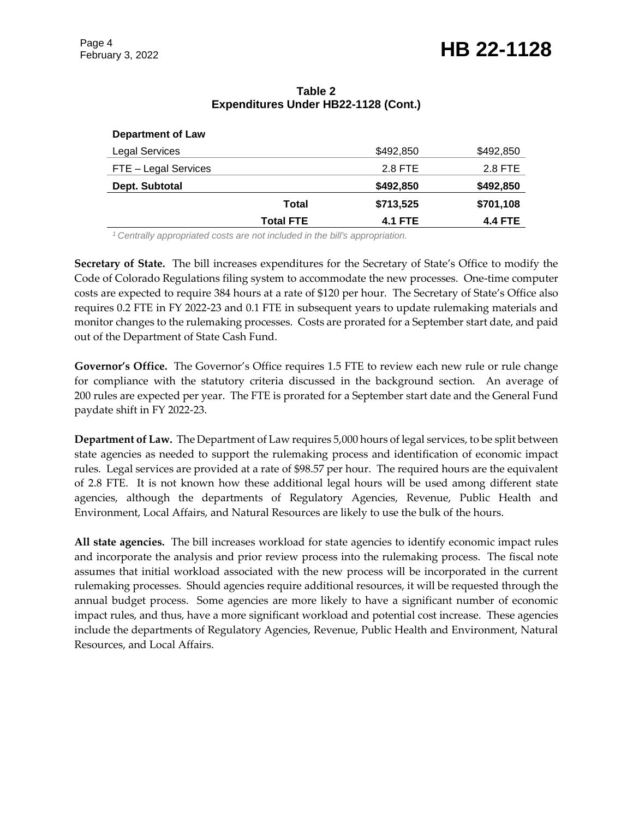#### **Table 2 Expenditures Under HB22-1128 (Cont.)**

#### **Department of Law**

| <b>Legal Services</b> | \$492,850      | \$492,850      |
|-----------------------|----------------|----------------|
| FTE - Legal Services  | 2.8 FTE        | 2.8 FTE        |
| Dept. Subtotal        | \$492,850      | \$492,850      |
| Total                 | \$713,525      | \$701,108      |
| <b>Total FTE</b>      | <b>4.1 FTE</b> | <b>4.4 FTE</b> |

*<sup>1</sup>Centrally appropriated costs are not included in the bill's appropriation.*

**Secretary of State.** The bill increases expenditures for the Secretary of State's Office to modify the Code of Colorado Regulations filing system to accommodate the new processes. One-time computer costs are expected to require 384 hours at a rate of \$120 per hour. The Secretary of State's Office also requires 0.2 FTE in FY 2022-23 and 0.1 FTE in subsequent years to update rulemaking materials and monitor changes to the rulemaking processes. Costs are prorated for a September start date, and paid out of the Department of State Cash Fund.

**Governor's Office.** The Governor's Office requires 1.5 FTE to review each new rule or rule change for compliance with the statutory criteria discussed in the background section. An average of 200 rules are expected per year. The FTE is prorated for a September start date and the General Fund paydate shift in FY 2022-23.

**Department of Law.** The Department of Law requires 5,000 hours of legal services, to be split between state agencies as needed to support the rulemaking process and identification of economic impact rules. Legal services are provided at a rate of \$98.57 per hour. The required hours are the equivalent of 2.8 FTE. It is not known how these additional legal hours will be used among different state agencies, although the departments of Regulatory Agencies, Revenue, Public Health and Environment, Local Affairs, and Natural Resources are likely to use the bulk of the hours.

**All state agencies.** The bill increases workload for state agencies to identify economic impact rules and incorporate the analysis and prior review process into the rulemaking process. The fiscal note assumes that initial workload associated with the new process will be incorporated in the current rulemaking processes. Should agencies require additional resources, it will be requested through the annual budget process. Some agencies are more likely to have a significant number of economic impact rules, and thus, have a more significant workload and potential cost increase. These agencies include the departments of Regulatory Agencies, Revenue, Public Health and Environment, Natural Resources, and Local Affairs.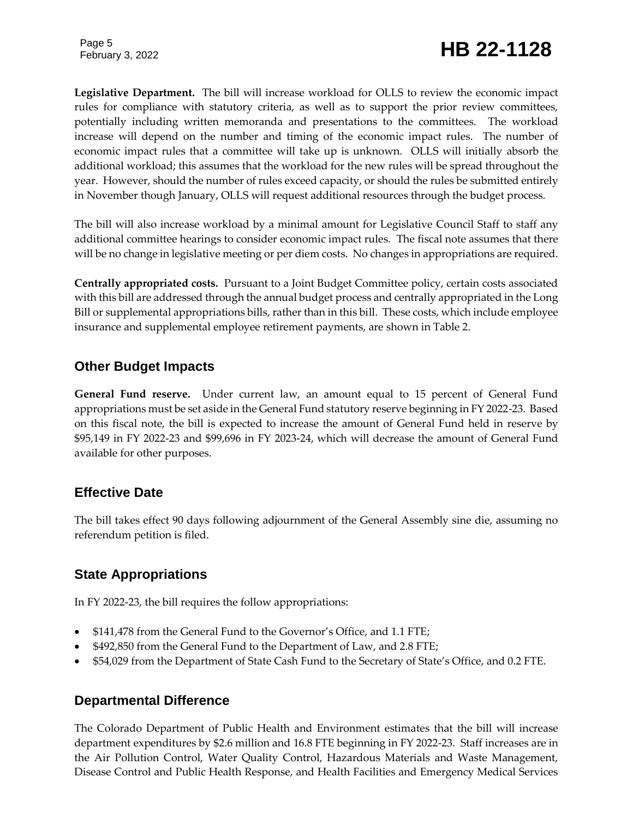**Legislative Department.** The bill will increase workload for OLLS to review the economic impact rules for compliance with statutory criteria, as well as to support the prior review committees, potentially including written memoranda and presentations to the committees. The workload increase will depend on the number and timing of the economic impact rules. The number of economic impact rules that a committee will take up is unknown. OLLS will initially absorb the additional workload; this assumes that the workload for the new rules will be spread throughout the year. However, should the number of rules exceed capacity, or should the rules be submitted entirely in November though January, OLLS will request additional resources through the budget process.

The bill will also increase workload by a minimal amount for Legislative Council Staff to staff any additional committee hearings to consider economic impact rules. The fiscal note assumes that there will be no change in legislative meeting or per diem costs. No changes in appropriations are required.

**Centrally appropriated costs.** Pursuant to a Joint Budget Committee policy, certain costs associated with this bill are addressed through the annual budget process and centrally appropriated in the Long Bill or supplemental appropriations bills, rather than in this bill. These costs, which include employee insurance and supplemental employee retirement payments, are shown in Table 2.

# **Other Budget Impacts**

**General Fund reserve.** Under current law, an amount equal to 15 percent of General Fund appropriations must be set aside in the General Fund statutory reserve beginning in FY 2022-23. Based on this fiscal note, the bill is expected to increase the amount of General Fund held in reserve by \$95,149 in FY 2022-23 and \$99,696 in FY 2023-24, which will decrease the amount of General Fund available for other purposes.

### **Effective Date**

The bill takes effect 90 days following adjournment of the General Assembly sine die, assuming no referendum petition is filed.

### **State Appropriations**

In FY 2022-23, the bill requires the follow appropriations:

- \$141,478 from the General Fund to the Governor's Office, and 1.1 FTE;
- \$492,850 from the General Fund to the Department of Law, and 2.8 FTE;
- \$54,029 from the Department of State Cash Fund to the Secretary of State's Office, and 0.2 FTE.

#### **Departmental Difference**

The Colorado Department of Public Health and Environment estimates that the bill will increase department expenditures by \$2.6 million and 16.8 FTE beginning in FY 2022-23. Staff increases are in the Air Pollution Control, Water Quality Control, Hazardous Materials and Waste Management, Disease Control and Public Health Response, and Health Facilities and Emergency Medical Services